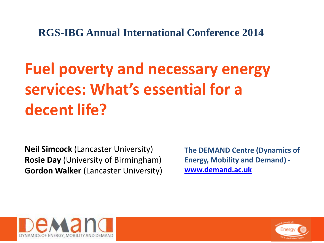**RGS-IBG Annual International Conference 2014**

# **Fuel poverty and necessary energy services: What's essential for a decent life?**

**Neil Simcock** (Lancaster University) **Rosie Day** (University of Birmingham) **Gordon Walker** (Lancaster University)

**The DEMAND Centre (Dynamics of Energy, Mobility and Demand) [www.demand.ac.uk](http://www.demand.ac.uk/)**



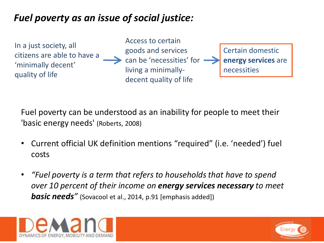### *Fuel poverty as an issue of social justice:*

In a just society, all citizens are able to have a 'minimally decent' quality of life

Access to certain goods and services can be 'necessities' for living a minimallydecent quality of life

Certain domestic **energy services** are necessities

Fuel poverty can be understood as an inability for people to meet their 'basic energy needs' (Roberts, 2008)

- Current official UK definition mentions "required" (i.e. 'needed') fuel costs
- *"Fuel poverty is a term that refers to households that have to spend over 10 percent of their income on energy services necessary to meet*  **basic needs**" (Sovacool et al., 2014, p.91 [emphasis added])



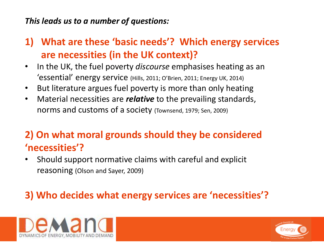#### *This leads us to a number of questions:*

- **1) What are these 'basic needs'? Which energy services are necessities (in the UK context)?**
- In the UK, the fuel poverty *discourse* emphasises heating as an 'essential' energy service (Hills, 2011; O'Brien, 2011; Energy UK, 2014)
- But literature argues fuel poverty is more than only heating
- Material necessities are *relative* to the prevailing standards, norms and customs of a society (Townsend, 1979; Sen, 2009)

## **2) On what moral grounds should they be considered 'necessities'?**

• Should support normative claims with careful and explicit reasoning (Olson and Sayer, 2009)

## **3) Who decides what energy services are 'necessities'?**



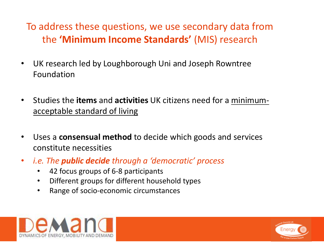## To address these questions, we use secondary data from the **'Minimum Income Standards'** (MIS) research

- UK research led by Loughborough Uni and Joseph Rowntree Foundation
- Studies the **items** and **activities** UK citizens need for a minimumacceptable standard of living
- Uses a **consensual method** to decide which goods and services constitute necessities
- *i.e. The public decide through a 'democratic' process*
	- 42 focus groups of 6-8 participants
	- Different groups for different household types
	- Range of socio-economic circumstances



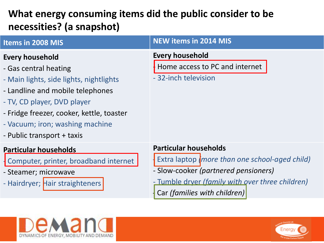## **What energy consuming items did the public consider to be necessities? (a snapshot)**

| Items in 2008 MIS                                                                                                                                                                                                                                                    | <b>NEW items in 2014 MIS</b>                                                                                                                                                                               |
|----------------------------------------------------------------------------------------------------------------------------------------------------------------------------------------------------------------------------------------------------------------------|------------------------------------------------------------------------------------------------------------------------------------------------------------------------------------------------------------|
| Every household<br>- Gas central heating<br>- Main lights, side lights, nightlights<br>- Landline and mobile telephones<br>- TV, CD player, DVD player<br>- Fridge freezer, cooker, kettle, toaster<br>- Vacuum; iron; washing machine<br>- Public transport + taxis | <b>Every household</b><br>Home access to PC and internet<br>- 32-inch television                                                                                                                           |
| <b>Particular households</b><br>Computer, printer, broadband internet<br>- Steamer; microwave<br>- Hairdryer; Hair straighteners                                                                                                                                     | <b>Particular households</b><br>Extra laptop (more than one school-aged child)<br>- Slow-cooker (partnered pensioners)<br>- Tumble dryer (family with over three children)<br>Car (families with children) |



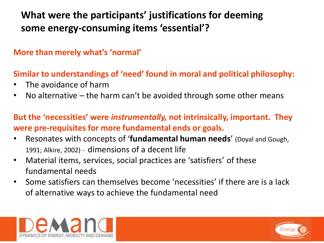## **What were the participants' justifications for deeming some energy-consuming items 'essential'?**

#### **More than merely what's 'normal'**

### **Similar to understandings of 'need' found in moral and political philosophy:**

- The avoidance of harm
- No alternative  $-$  the harm can't be avoided through some other means

### **But the 'necessities' were** *instrumentally,* **not intrinsically, important. They were pre-requisites for more fundamental ends or goals.**

- Resonates with concepts of '**fundamental human needs**' (Doyal and Gough, 1991; Alkire, 2002) - dimensions of a decent life
- Material items, services, social practices are 'satisfiers' of these fundamental needs
- Some satisfiers can themselves become 'necessities' if there are is a lack of alternative ways to achieve the fundamental need



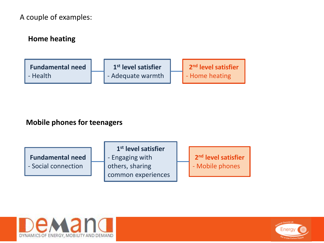#### A couple of examples:



#### **Mobile phones for teenagers**

**Fundamental need** - Social connection

**1 st level satisfier** - Engaging with others, sharing common experiences

**2 nd level satisfier** - Mobile phones



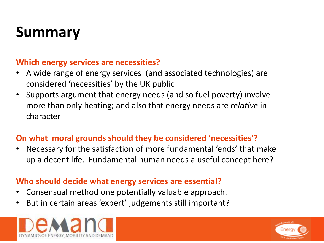# **Summary**

#### **Which energy services are necessities?**

- A wide range of energy services (and associated technologies) are considered 'necessities' by the UK public
- Supports argument that energy needs (and so fuel poverty) involve more than only heating; and also that energy needs are *relative* in character

#### **On what moral grounds should they be considered 'necessities'?**

• Necessary for the satisfaction of more fundamental 'ends' that make up a decent life. Fundamental human needs a useful concept here?

#### **Who should decide what energy services are essential?**

- Consensual method one potentially valuable approach.
- But in certain areas 'expert' judgements still important?



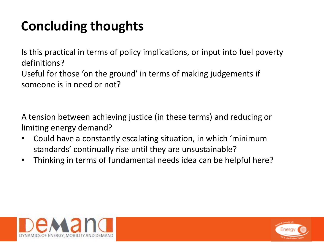## **Concluding thoughts**

Is this practical in terms of policy implications, or input into fuel poverty definitions? Useful for those 'on the ground' in terms of making judgements if someone is in need or not?

A tension between achieving justice (in these terms) and reducing or limiting energy demand?

- Could have a constantly escalating situation, in which 'minimum standards' continually rise until they are unsustainable?
- Thinking in terms of fundamental needs idea can be helpful here?